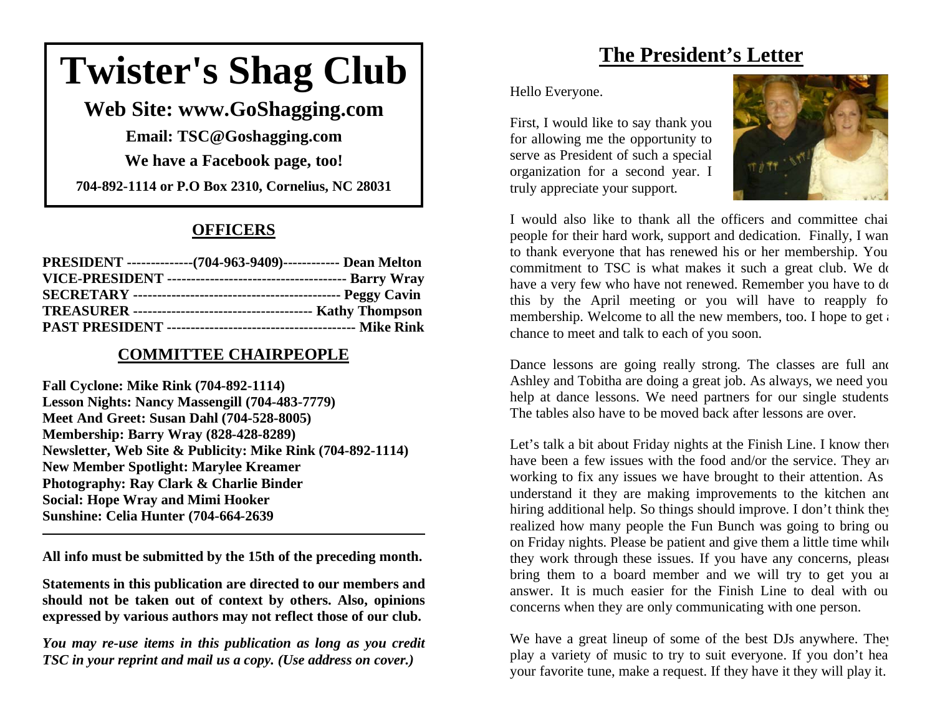# **Twister's Shag Club**

**Web Site: www.GoShagging.com** 

**Email: TSC@Goshagging.com We have a Facebook page, too!** 

**704-892-1114 or P.O Box 2310, Cornelius, NC 28031** 

## **OFFICERS**

| PRESIDENT ---------------(704-963-9409)------------- Dean Melton |  |
|------------------------------------------------------------------|--|
|                                                                  |  |
|                                                                  |  |
|                                                                  |  |
|                                                                  |  |

### **COMMITTEE CHAIRPEOPLE**

**Fall Cyclone: Mike Rink (704-892-1114) Lesson Nights: Nancy Massengill (704-483-7779) Meet And Greet: Susan Dahl (704-528-8005) Membership: Barry Wray (828-428-8289) Newsletter, Web Site & Publicity: Mike Rink (704-892-1114) New Member Spotlight: Marylee Kreamer Photography: Ray Clark & Charlie Binder Social: Hope Wray and Mimi Hooker Sunshine: Celia Hunter (704-664-2639** 

**All info must be submitted by the 15th of the preceding month.** 

**Statements in this publication are directed to our members and should not be taken out of context by others. Also, opinions expressed by various authors may not reflect those of our club.** 

*You may re-use items in this publication as long as you credit TSC in your reprint and mail us a copy. (Use address on cover.)* 

# **The President's Letter**

Hello Everyone.

First, I would like to say thank you for allowing me the opportunity to serve as President of such a special organization for a second year. I truly appreciate your support.



I would also like to thank all the officers and committee chai people for their hard work, support and dedication. Finally, I wa n to thank everyone that has renewed his or her membership. You commitment to TSC is what makes it such a great club. We do have a very few who have not renewed. Remember you have to do this by the April meeting or you will have to reapply fo membership. Welcome to all the new members, too. I hope to get a chance to meet and talk to each of you soon.

Dance lessons are going really strong. The classes are full and Ashley and Tobitha are doing a great job. As always, we need you help at dance lessons. We need partners for our single students The tables also have to be moved back after lessons are over.

Let's talk a bit about Friday nights at the Finish Line. I know ther have been a few issues with the food and/or the service. They are working to fix any issues we have brought to their attention. As understand it they are making improvements to the kitchen an d hiring additional help. So things should improve. I don't think the realized how many people the Fun Bunch was going to bring o u on Friday nights. Please be patient and give them a little time whil e they work through these issues. If you have any concerns, pleas e bring them to a board member and we will try to get you a n answer. It is much easier for the Finish Line to deal with o u concerns when they are only communicating with one person.

We have a great lineup of some of the best DJs anywhere. The play a variety of music to try to suit everyone. If you don't he a your favorite tune, make a request. If they have it they will play it.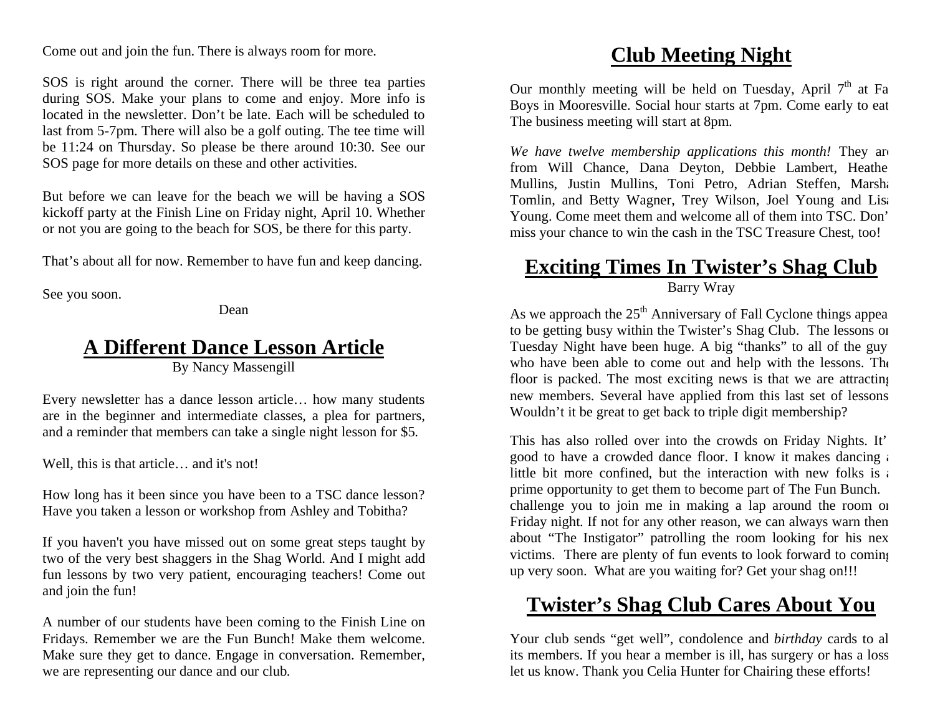Come out and join the fun. There is always room for more.

SOS is right around the corner. There will be three tea parties during SOS. Make your plans to come and enjoy. More info is located in the newsletter. Don't be late. Each will be scheduled to last from 5-7pm. There will also be a golf outing. The tee time will be 11:24 on Thursday. So please be there around 10:30. See our SOS page for more details on these and other activities.

But before we can leave for the beach we will be having a SOS kickoff party at the Finish Line on Friday night, April 10. Whether or not you are going to the beach for SOS, be there for this party.

That's about all for now. Remember to have fun and keep dancing.

See you soon.

Dean

# **A Different Dance Lesson Article**

By Nancy Massengill

Every newsletter has a dance lesson article… how many students are in the beginner and intermediate classes, a plea for partners, and a reminder that members can take a single night lesson for \$5.

Well, this is that article... and it's not!

How long has it been since you have been to a TSC dance lesson? Have you taken a lesson or workshop from Ashley and Tobitha?

If you haven't you have missed out on some great steps taught by two of the very best shaggers in the Shag World. And I might add fun lessons by two very patient, encouraging teachers! Come out and join the fun!

A number of our students have been coming to the Finish Line on Fridays. Remember we are the Fun Bunch! Make them welcome. Make sure they get to dance. Engage in conversation. Remember, we are representing our dance and our club.

# **Club Meeting Night**

Our monthly meeting will be held on Tuesday, April  $7<sup>th</sup>$  at Fa Boys in Mooresville. Social hour starts at 7pm. Come early to eat The business meeting will start at 8pm.

*We have twelve membership applications this month!* They are from Will Chance, Dana Deyton, Debbie Lambert, Heathe Mullins, Justin Mullins, Toni Petro, Adrian Steffen, Marsha Tomlin, and Betty Wagner, Trey Wilson, Joel Young and Lisa Young. Come meet them and welcome all of them into TSC. Don' miss your chance to win the cash in the TSC Treasure Chest, too!

# **Exciting Times In Twister's Shag Club** Barry Wray

As we approach the  $25<sup>th</sup>$  Anniversary of Fall Cyclone things appea to be getting busy within the Twister's Shag Club. The lessons on Tuesday Night have been huge. A big "thanks" to all of the guy who have been able to come out and help with the lessons. The floor is packed. The most exciting news is that we are attracting new members. Several have applied from this last set of lessons Wouldn't it be great to get back to triple digit membership?

This has also rolled over into the crowds on Friday Nights. It' good to have a crowded dance floor. I know it makes dancing a little bit more confined, but the interaction with new folks is a prime opportunity to get them to become part of The Fun Bunch. challenge you to join me in making a lap around the room on Friday night. If not for any other reason, we can always warn them about "The Instigator" patrolling the room looking for his nex victims. There are plenty of fun events to look forward to coming up very soon. What are you waiting for? Get your shag on!!!

# **Twister's Shag Club Cares About You**

Your club sends "get well", condolence and *birthday* cards to al its members. If you hear a member is ill, has surgery or has a loss let us know. Thank you Celia Hunter for Chairing these efforts!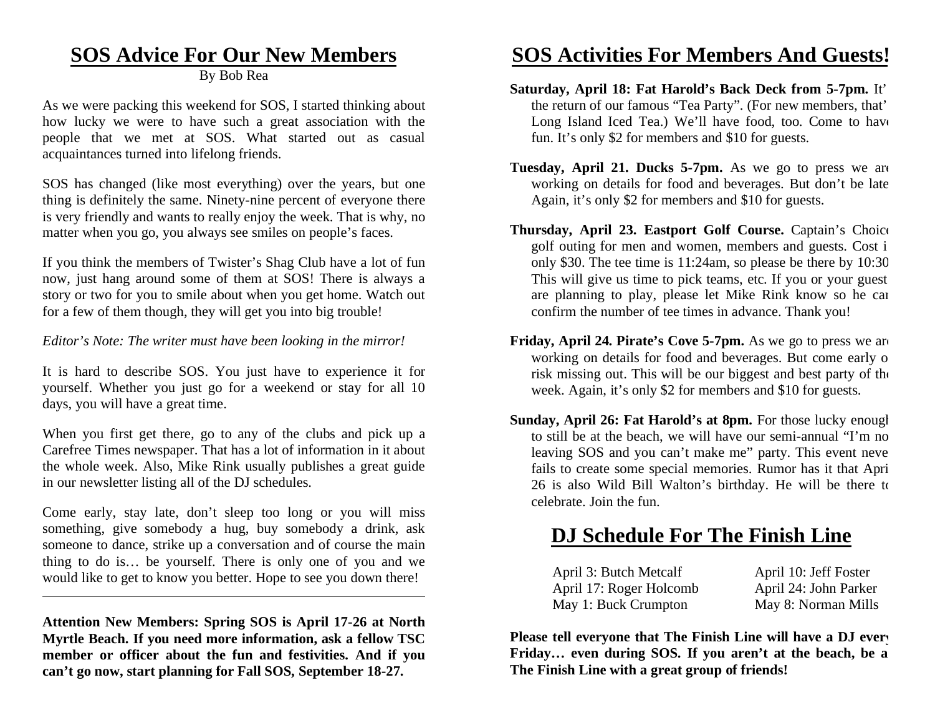# **SOS Advice For Our New Members**

By Bob Rea

As we were packing this weekend for SOS, I started thinking about how lucky we were to have such a great association with the people that we met at SOS. What started out as casual acquaintances turned into lifelong friends.

SOS has changed (like most everything) over the years, but one thing is definitely the same. Ninety-nine percent of everyone there is very friendly and wants to really enjoy the week. That is why, no matter when you go, you always see smiles on people's faces.

If you think the members of Twister's Shag Club have a lot of fun now, just hang around some of them at SOS! There is always a story or two for you to smile about when you get home. Watch out for a few of them though, they will get you into big trouble!

### *Editor's Note: The writer must have been looking in the mirror!*

It is hard to describe SOS. You just have to experience it for yourself. Whether you just go for a weekend or stay for all 10 days, you will have a great time.

When you first get there, go to any of the clubs and pick up a Carefree Times newspaper. That has a lot of information in it about the whole week. Also, Mike Rink usually publishes a great guide in our newsletter listing all of the DJ schedules.

Come early, stay late, don't sleep too long or you will miss something, give somebody a hug, buy somebody a drink, ask someone to dance, strike up a conversation and of course the main thing to do is… be yourself. There is only one of you and we would like to get to know you better. Hope to see you down there!

**Attention New Members: Spring SOS is April 17-26 at North Myrtle Beach. If you need more information, ask a fellow TSC member or officer about the fun and festivities. And if you can't go now, start planning for Fall SOS, September 18-27.** 

# **SOS Activities For Members And Guests!**

- **Saturday, April 18: Fat Harold's Back Deck from 5-7pm.** It' the return of our famous "Tea Party". (For new members, that' Long Island Iced Tea.) We'll have food, too. Come to have fun. It's only \$2 for members and \$10 for guests.
- **Tuesday, April 21. Ducks 5-7pm.** As we go to press we are working on details for food and beverages. But don't be late Again, it's only \$2 for members and \$10 for guests.
- **Thursday, April 23. Eastport Golf Course.** Captain's Choice golf outing for men and women, members and guests. Cost i only \$30. The tee time is 11:24am, so please be there by 10:30 This will give us time to pick teams, etc. If you or your guest are planning to play, please let Mike Rink know so he can confirm the number of tee times in advance. Thank you!
- **Friday, April 24. Pirate's Cove 5-7pm.** As we go to press we are working on details for food and beverages. But come early o risk missing out. This will be our biggest and best party of the week. Again, it's only \$2 for members and \$10 for guests.
- **Sunday, April 26: Fat Harold's at 8pm.** For those lucky enough to still be at the beach, we will have our semi-annual "I'm no leaving SOS and you can't make me" party. This event neve fails to create some special memories. Rumor has it that Apri 26 is also Wild Bill Walton's birthday. He will be there to celebrate. Join the fun.

# **DJ Schedule For The Finish Line**

| April 3: Butch Metcalf  | April 10: Jeff Foster |
|-------------------------|-----------------------|
| April 17: Roger Holcomb | April 24: John Parker |
| May 1: Buck Crumpton    | May 8: Norman Mills   |

**Please tell everyone that The Finish Line will have a DJ every Friday… even during SOS. If you aren't at the beach, be a The Finish Line with a great group of friends!**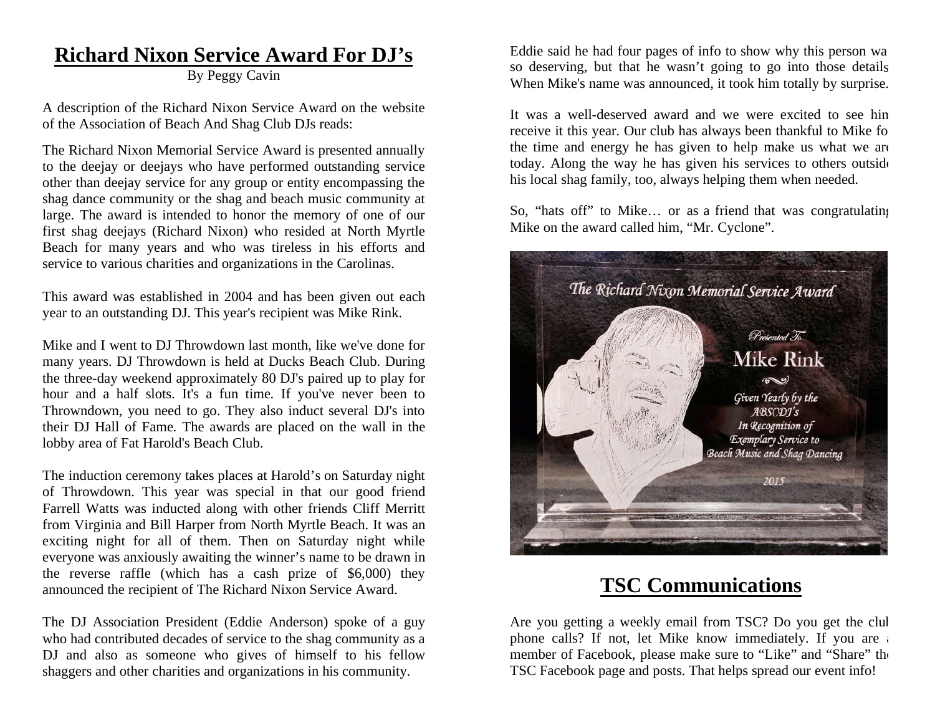# **Richard Nixon Service Award For DJ's**

By Peggy Cavin

A description of the Richard Nixon Service Award on the website of the Association of Beach And Shag Club DJs reads:

The Richard Nixon Memorial Service Award is presented annually to the deejay or deejays who have performed outstanding service other than deejay service for any group or entity encompassing the shag dance community or the shag and beach music community at large. The award is intended to honor the memory of one of our first shag deejays (Richard Nixon) who resided at North Myrtle Beach for many years and who was tireless in his efforts and service to various charities and organizations in the Carolinas.

This award was established in 2004 and has been given out each year to an outstanding DJ. This year's recipient was Mike Rink.

Mike and I went to DJ Throwdown last month, like we've done for many years. DJ Throwdown is held at Ducks Beach Club. During the three-day weekend approximately 80 DJ's paired up to play for hour and a half slots. It's a fun time. If you've never been to Throwndown, you need to go. They also induct several DJ's into their DJ Hall of Fame. The awards are placed on the wall in the lobby area of Fat Harold's Beach Club.

The induction ceremony takes places at Harold's on Saturday night of Throwdown. This year was special in that our good friend Farrell Watts was inducted along with other friends Cliff Merritt from Virginia and Bill Harper from North Myrtle Beach. It was an exciting night for all of them. Then on Saturday night while everyone was anxiously awaiting the winner's name to be drawn in the reverse raffle (which has a cash prize of \$6,000) they announced the recipient of The Richard Nixon Service Award.

The DJ Association President (Eddie Anderson) spoke of a guy who had contributed decades of service to the shag community as a DJ and also as someone who gives of himself to his fellow shaggers and other charities and organizations in his community.

Eddie said he had four pages of info to show why this person wa so deserving, but that he wasn't going to go into those details When Mike's name was announced, it took him totally by surprise.

It was a well-deserved award and we were excited to see hi m receive it this year. Our club has always been thankful to Mike fo the time and energy he has given to help make us what we are today. Along the way he has given his services to others outsid e his local shag family, too, always helping them when needed.

So, "hats off" to Mike... or as a friend that was congratulating Mike on the award called him, "Mr. Cyclone".



# **TSC Communications**

Are you getting a weekly email from TSC? Do you get the clu b phone calls? If not, let Mike know immediately. If you are a member of Facebook, please make sure to "Like" and "Share" th e TSC Facebook page and posts. That helps spread our event info!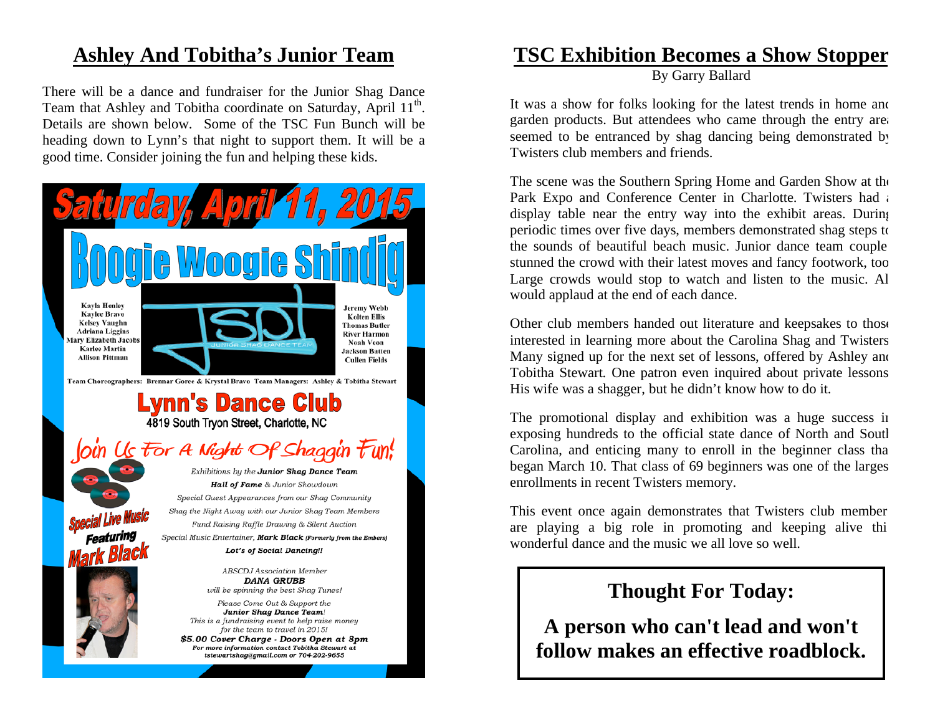# **Ashley And Tobitha's Junior Team**

There will be a dance and fundraiser for the Junior Shag Dance Team that Ashley and Tobitha coordinate on Saturday, April 11<sup>th</sup>. Details are shown below. Some of the TSC Fun Bunch will be heading down to Lynn's that night to support them. It will be a good time. Consider joining the fun and helping these kids.



# **TSC Exhibition Becomes a Show Stopper**

By Garry Ballard

It was a show for folks looking for the latest trends in home and garden products. But attendees who came through the entry area seemed to be entranced by shag dancing being demonstrated by Twisters club members and friends.

The scene was the Southern Spring Home and Garden Show at the Park Expo and Conference Center in Charlotte. Twisters had a display table near the entry way into the exhibit areas. During periodic times over five days, members demonstrated shag steps to the sounds of beautiful beach music. Junior dance team couple stunned the crowd with their latest moves and fancy footwork, too Large crowds would stop to watch and listen to the music. Al would applaud at the end of each dance.

Other club members handed out literature and keepsakes to those interested in learning more about the Carolina Shag and Twisters Many signed up for the next set of lessons, offered by Ashley and Tobitha Stewart. One patron even inquired about private lessons His wife was a shagger, but he didn't know how to do it.

The promotional display and exhibition was a huge success in exposing hundreds to the official state dance of North and South Carolina, and enticing many to enroll in the beginner class tha began March 10. That class of 69 beginners was one of the larges enrollments in recent Twisters memory.

This event once again demonstrates that Twisters club member are playing a big role in promoting and keeping alive thi wonderful dance and the music we all love so well.

# **Thought For Today:**

**A person who can't lead and won't follow makes an effective roadblock.**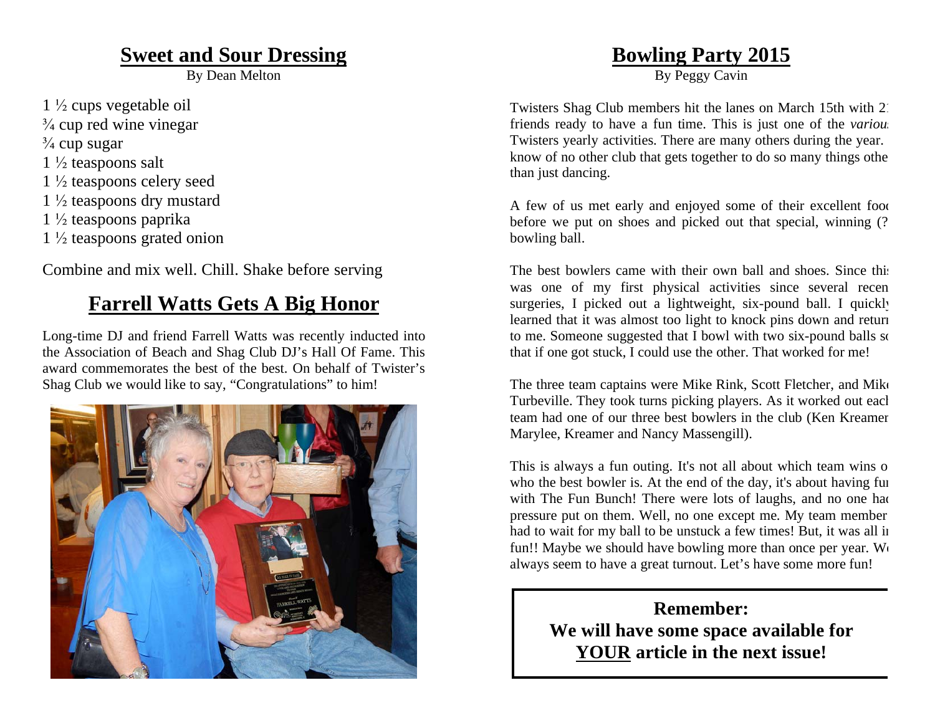# **Sweet and Sour Dressing**

By Dean Melton

- $1\frac{1}{2}$  cups vegetable oil
- $\frac{3}{4}$  cup red wine vinegar
- $\frac{3}{4}$  cup sugar
- $1\frac{1}{2}$  teaspoons salt
- $1\frac{1}{2}$  teaspoons celery seed
- $1\frac{1}{2}$  teaspoons dry mustard
- $1\frac{1}{2}$  teaspoons paprika
- $1\frac{1}{2}$  teaspoons grated onion

Combine and mix well. Chill. Shake before serving

# **Farrell Watts Gets A Big Honor**

Long-time DJ and friend Farrell Watts was recently inducted into the Association of Beach and Shag Club DJ's Hall Of Fame. This award commemorates the best of the best. On behalf of Twister's Shag Club we would like to say, "Congratulations" to him!



# **Bowling Party 2015**

By Peggy Cavin

Twisters Shag Club members hit the lanes on March 15th with 21 friends ready to have a fun time. This is just one of the *various* Twisters yearly activities. There are many others during the year. know of no other club that gets together to do so many things othe than just dancing.

A few of us met early and enjoyed some of their excellent food before we put on shoes and picked out that special, winning (? bowling ball.

The best bowlers came with their own ball and shoes. Since this was one of my first physical activities since several recen surgeries, I picked out a lightweight, six-pound ball. I quickly learned that it was almost too light to knock pins down and return to me. Someone suggested that I bowl with two six-pound balls so that if one got stuck, I could use the other. That worked for me!

The three team captains were Mike Rink, Scott Fletcher, and Mike Turbeville. They took turns picking players. As it worked out each team had one of our three best bowlers in the club (Ken Kreamer Marylee, Kreamer and Nancy Massengill).

This is always a fun outing. It's not all about which team wins o who the best bowler is. At the end of the day, it's about having fun with The Fun Bunch! There were lots of laughs, and no one had pressure put on them. Well, no one except me. My team member had to wait for my ball to be unstuck a few times! But, it was all in fun!! Maybe we should have bowling more than once per year. We always seem to have a great turnout. Let's have some more fun!

> **Remember: We will have some space available for YOUR article in the next issue!**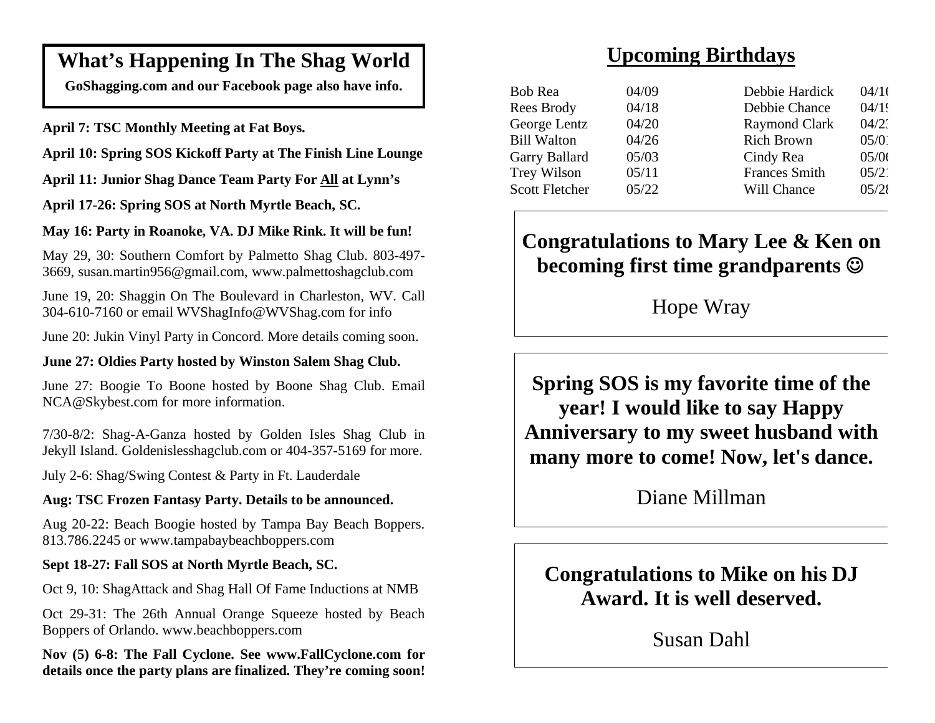# **What's Happening In The Shag World**

**GoShagging.com and our Facebook page also have info.** 

**April 7: TSC Monthly Meeting at Fat Boys.** 

**April 10: Spring SOS Kickoff Party at The Finish Line Lounge** 

**April 11: Junior Shag Dance Team Party For All at Lynn's** 

**April 17-26: Spring SOS at North Myrtle Beach, SC.** 

### **May 16: Party in Roanoke, VA. DJ Mike Rink. It will be fun!**

May 29, 30: Southern Comfort by Palmetto Shag Club. 803-497- 3669, susan.martin956@gmail.com, www.palmettoshagclub.com

June 19, 20: Shaggin On The Boulevard in Charleston, WV. Call 304-610-7160 or email WVShagInfo@WVShag.com for info

June 20: Jukin Vinyl Party in Concord. More details coming soon.

### **June 27: Oldies Party hosted by Winston Salem Shag Club.**

June 27: Boogie To Boone hosted by Boone Shag Club. Email NCA@Skybest.com for more information.

7/30-8/2: Shag-A-Ganza hosted by Golden Isles Shag Club in Jekyll Island. Goldenislesshagclub.com or 404-357-5169 for more.

July 2-6: Shag/Swing Contest & Party in Ft. Lauderdale

### **Aug: TSC Frozen Fantasy Party. Details to be announced.**

Aug 20-22: Beach Boogie hosted by Tampa Bay Beach Boppers. 813.786.2245 or www.tampabaybeachboppers.com

### **Sept 18-27: Fall SOS at North Myrtle Beach, SC.**

Oct 9, 10: ShagAttack and Shag Hall Of Fame Inductions at NMB

Oct 29-31: The 26th Annual Orange Squeeze hosted by Beach Boppers of Orlando. www.beachboppers.com

**Nov (5) 6-8: The Fall Cyclone. See www.FallCyclone.com for details once the party plans are finalized. They're coming soon!** 

# **Upcoming Birthdays**

| Bob Rea               | 04/09 | Debbie Hardick       | 04/16 |
|-----------------------|-------|----------------------|-------|
|                       |       |                      |       |
| Rees Brody            | 04/18 | Debbie Chance        | 04/19 |
| George Lentz          | 04/20 | <b>Raymond Clark</b> | 04/2  |
| <b>Bill Walton</b>    | 04/26 | <b>Rich Brown</b>    | 05/0  |
| Garry Ballard         | 05/03 | Cindy Rea            | 05/06 |
| Trey Wilson           | 05/11 | <b>Frances Smith</b> | 05/2  |
| <b>Scott Fletcher</b> | 05/22 | Will Chance          | 05/28 |
|                       |       |                      |       |

# **Congratulations to Mary Lee & Ken on becoming first time grandparents**

Hope Wray

**Spring SOS is my favorite time of the year! I would like to say Happy Anniversary to my sweet husband with many more to come! Now, let's dance.**

Diane Millman

**Congratulations to Mike on his DJ Award. It is well deserved.**

Susan Dahl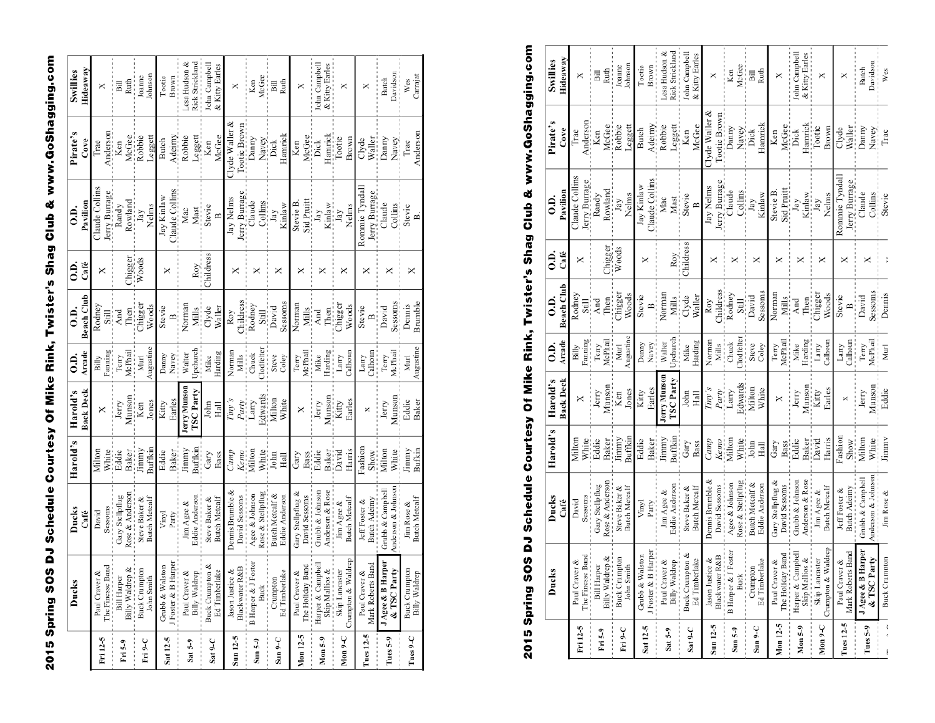2015 Spring SOS DJ Schedule Courtesy Of Mike Rink, Twister's Shag Club & www.GoShagging.com

|           | Ducks                | Ducks                 | Harold's     | Harold's          | $\ddot{\rm o}$      | $\ddot{0}$ .   | S.              | $\overline{0}$ . | Pirate's            | Swillies        |
|-----------|----------------------|-----------------------|--------------|-------------------|---------------------|----------------|-----------------|------------------|---------------------|-----------------|
|           |                      | Café                  |              | Back Deck         | Arcade              | Beach Club     | Café            | Pavilion         | Cove                | Hideaway        |
| Fri 12-5  | Paul Craver &        | David                 | Milton       | ×                 | Billy               | <b>Rodney</b>  | ×               | Claude Collins   | Trae                | ×               |
|           | The Finesse Band     | Sessoms               | White        |                   | Fanning             | Still<br>And   |                 | erry Burrage     | inderso             |                 |
| Fri 5-9   | <b>Bill Harper</b>   | Gary Stellpflug       | Eddie        | Jerry             | Terry               |                |                 | Randy            | Ken                 | Bill            |
|           | Billy Waldrep &      | Rose & Andersor       | <b>Baker</b> | Munson<br>Ken     | <b>McPhai</b>       | Then           | Chigger         | Rowland          | McGee               | Ruth            |
| Fri 9-C   | <b>Buck Crumpton</b> | Steve Baker &         | Jimmy        |                   | Murl                | .<br>Thigger   | Woods           | $_{\rm{Jay}}$    | Robbie              | Joanne          |
|           | John Smith           | <b>Butch Metcalf</b>  | Buffkir      | Jones             | Augustin            | Woods          |                 | Nelms            | Leggett             | ohnson          |
| Sat 12-5  | Grubb & Walston      | Vinyl                 | Eddie        | Kitty             | Danny               | Stevie         | ×               | Jay Kinlaw       | Butch               | Tootie          |
|           | Foster & B Harper    | Party                 | <b>Baker</b> | Earles            | Navey               | $\overline{B}$ |                 | laude Collins    | Adeimy              | Brown           |
| Sat $5-9$ | Paul Craver &        | Jim Agee &            | Jimmy        | Jerry Munson      | Walter              | Normar         |                 | Mac              | Robbie              | esa Hudson &    |
|           | Billy Waldrep        | <b>Eddie Anderson</b> | Buffkin      | <b>ISC</b> Party  | Jpchurch            | Mills          | Roy             | Mast             | Leggett             | Rick Strickland |
| Sat 9-C   | Buck Crumpton &      | Steve Baker &         | Gary         | John              | Mike                | Clyde          | <b>Childres</b> | Stevie           | Ken                 | John Campbell   |
|           | Ed Timberlake        | <b>Butch Metcalf</b>  | Bass         | Hall              | Harding             | Waller         |                 | $\mathbf{r}$     | McGee               | & Kitty Earles  |
| Sun 12-5  | Jason Justice &      | Dennis Brumble &      | Camp         | Tiny's            | Normar              | Roy            | ×               | Jay Nelms        | $Clyde$ Waller $\&$ | ×               |
|           | Black water R&B      | David Sessoms         | Kemo         | Party.<br>Larry   | Mills<br>Chuck      | Childress      |                 | Jerry Burrage    | Tootie Brown        |                 |
| Sun 5-9   | B Harper & J Foster  | Agee & Johnson        | Milton       |                   |                     | Rodney         | ×               | Claude           | Danny               | Ken             |
|           | <b>Buck</b>          | Rose & Stellpflug     | White        | Edwards<br>Milton | lodfelte            | Still          |                 | Collins          | Navey<br>Dick       | McGee           |
| $Sun9-C$  | Crumpton             | Butch Metcalf &       | John         |                   | Steve               | David          | ×               | Jay              |                     | Bill            |
|           | <b>Ed Timberlake</b> | Eddie Anderson        | Hall         | White             | Coley               | sessom:        |                 | Kinlaw           | Hamrick             | Ruth            |
| Mon 12-5  | Paul Craver &        | Gary Stellpflug &     | Gary         | ×                 | Terry               | Norman         | ×               | Stevie B.        | Ken                 | ×               |
|           | The Holiday Band     | David Sessoms         | Bass         |                   | McPhail             | Mills<br>And   |                 | Sid Pruitt       | McGee<br>Dick       |                 |
| Mon 5-9   | Harper & Campbel     | Grubb & Johnson       | Eddie        | Jerry             | Mike                |                | ×               | $_{\rm{Jay}}$    |                     | John Campbel    |
|           | Skip Mallios &       | Anderson & Rose       | Baker        |                   | Harding<br>-------- | Then           |                 | Kinlaw           | Hamrick<br>Tootie   | & Kitty Earles  |
| Mon 9-C   | Skip Lancaster       | Jim Agee &            | David        | Munson<br>Kitty   | Larry               | Chigger        | ×               | Jay              |                     | ×               |
|           | Crumpton & Waldrep   | Butch Metcalf         | Harris       | Earles            | Calhour             | Woods          |                 | Nelms            | Brown               |                 |
| Tues 12-5 | Paul Craver &        | <b>Jeff</b> Foster &  | Fashion      | ×                 | Larry               | Stevie         |                 | Rommie Tyndal    | Clyde               | ×               |
|           | Mark Roberts Band    | <b>Butch Adeimy</b>   | Show         |                   | Calhour             | ≏¦             |                 | Jerry Burrage    | Waller              |                 |
| Tues 5-9  | JAgee & B Harper     | Grubb & Campbel       | Milton       | Jerry             | Terry               | David          | ×               | Claude           | Danny               | Butch           |
|           | & TSC Party          | Anderson & Johnson    | White        | Munson            | McPhail             | Sessoms        |                 | Collins          | Navey               | Davidson        |
| Tues 9-C  | <b>Buck Crumpton</b> | Jim Rose &            | Jimmy        | Eddie             | Murl                | Dennis         | ×               | Stevie           | Trae                | Wes             |
|           | Billy Waldrep        | <b>Butch Metcalf</b>  | Bufkin       | Baker             | Augustine           | Brumble        |                 | £.               | Andersor            | Carrajat        |

# 2015 Spring SOS DJ Schedule Courtesy Of Mike Rink, Twister's Shag Club & www.GoShagging.com

|                    | Ducks                             | Ducks                 | Harold's        | Harold's                 | Э.               | $\ddot{0}$ .             | Э.               | $\ddot{0}$ .                    | Pirate's            | Swillies             |
|--------------------|-----------------------------------|-----------------------|-----------------|--------------------------|------------------|--------------------------|------------------|---------------------------------|---------------------|----------------------|
|                    |                                   | Café                  |                 | <b>Back Deck</b>         | Arcade           | Beach Club               | Café             | Pavilion                        | Cove                | Hideaway             |
| Fri 12-5           | The Finesse Band<br>Paul Craver & | Sessoms<br>David      | Milton<br>White | ×                        | anning?<br>Billy | Rodney<br>Still<br>Still | ×                | Claude Collins<br>lerry Burrage | Anderson<br>Trae    | ×                    |
|                    | <b>Bill Harper</b>                | Gary Stellpflug       | Eddie           | Jerry                    | Terry            | And                      |                  | Randy                           | Ken                 | Bill                 |
| Fri 5-9            | Billy Waldrep &<br>.              | Rose & Anderson       | Baker           | Munson                   | McPhail          |                          |                  | Rowland                         | McGee               | Ruth                 |
| Fri 9-C            | <b>Buck Crumpton</b>              | Steve Baker &         | Jimmy           | Ken                      | Murl             | Then<br>Chigger          | Chigger<br>Woods | Jay                             | Robbie              | Joanne               |
|                    | John Smith                        | <b>Butch Metcalf</b>  | <b>Buffkin</b>  | Jones                    | Augustine        | Woods                    |                  | Nelms                           | Leggett             | Johnson              |
| Sat 12-5           | Grubb & Walston                   | Vinyl                 | Eddie           | Kitty                    | Danny            | Stevie                   | ×                | Jay Kinlaw                      | Butch               | Tootie               |
|                    | J Foster & B Harper               | Party                 | <b>Baker</b>    | Earles                   | Navey            | $\mathbf{p}$             |                  | Claude Collins                  | Adeimy              | Brown                |
| Sat 5-9            | Paul Craver &                     | Jim Agee &            | limmy           | Jerry Munson             | Walter           | Norman                   |                  | Mac                             | Robbie              | Lesa Hudson &        |
|                    | Billy Waldrep                     | <b>3ddie Anderson</b> | Buffkin         | <b>ISC</b> Party         | Upchurch         | Mills                    | Roy              | Mast                            | Leggett             | Rick Strickland      |
|                    | Buck Crumpton &                   | Steve Baker &         | Gary            | $_{\rm John}$            | Mike             | Clyde                    | Childress        | Stevie                          | Ken                 | John Campbell        |
| Sat 9-C            | Ed Timberlake                     | <b>Butch Metcalf</b>  | Bass            | Hall                     | Harding          | Waller                   |                  | $\mathbf{m}$                    | McGee               | & Kitty Earles       |
| Sun 12-5           | Jason Justice &                   | Dennis Brumble &      | Camp            | Tiny's                   | Normar           | Roy                      |                  | Jay Nelms                       | $Clyde$ Waller $\&$ | ×                    |
|                    | Black water R&B                   | David Sessoms         |                 | Party.                   | Mills            | Childress                | ×                |                                 | Tootie Brown        |                      |
| $S \text{un } S-9$ | B Harper & J Foster               | Agee & Johnson        | Kemo<br>Milton  | $_{\rm Larry}$           | Chuck            | Rodney                   | ×                | Jerry Burrage<br>Claude         | Danny               | Ken                  |
|                    | <b>Buck</b>                       | Rose & Stellpflug     | White<br>John   | Edwards<br>Milton        | <b>Nodfelte</b>  | Still                    |                  | Collins                         | Navey<br>Dick       | McGee                |
| $Sun9-C$           | Crumpton                          | Butch Metcalf &       |                 |                          | Steve            | David                    | ×                | Jay                             |                     | Bill                 |
|                    | Ed Timberlake                     | Eddie Anderson        | Hall            | White                    | Coley            | Sessoms                  |                  | Kinlaw                          | Hamrick             | Ruth                 |
| Mon 12-5           | Paul Craver &                     | Gary Stellpflug &     | Gary            | ×                        | Terry            | Norman                   | ×                | Stevie B.                       | Ken                 | ×                    |
|                    | The Holiday Band                  | David Sessoms         | Bass<br>Eddie   |                          | McPhail          | Mills                    |                  | Sid Pruitt                      | McGee<br>Dick       |                      |
| Mon <sub>5-9</sub> | Harper & Campbell                 | Grubb & Johnson       |                 | Terry<br>Munson<br>Kitty | Mike             | And                      | ×                | $_{\rm{Jay}}$                   |                     | John Campbell        |
|                    | Skip Mallios &                    | Anderson & Rose       | Baker<br>David  |                          |                  |                          |                  |                                 | Hannick<br>Tootie   | & Kitty Earles       |
| Mon 9-C            | Skip Lancaster                    | Jim Agee &            |                 |                          | Harding<br>Larry | Then<br>Chigger          | ×                | Kinlaw<br>Jay                   |                     | ×                    |
|                    | Crumpton & Waldrep                | <b>Butch Metcalf</b>  | Harris          | Earles                   | Calhoun          | Woods                    |                  | Nelms                           | Brown               |                      |
| Tues 12-5          | Paul Craver &                     | Jeff Foster &         | ashior          | ×                        | Larry            | Stevie                   | ×                | Rommie Tyndall                  | Clyde               | ×                    |
|                    | s Band<br>Mark Roberts            | Butch Adeimy          | Show            |                          | Calhoun          | $\mathbf{r}$             |                  | Jerry Burrage                   | Waller              |                      |
| Tues 5-9           | Harper<br>J Agee & B I            | Grubb & Campbell      | Milton          |                          |                  | David                    | ×                | Claude                          | Danny               | Butch                |
|                    | & TSC Party                       | Anderson & Johnson    | White:          | Jerry<br>Munson<br>Eddie | Terry<br>McPhail | Sessoms                  |                  | Collins<br>Stevie               | Navey<br>Trae       | Davidson<br>-------- |
| $\frac{1}{2}$      | <b>Buck Crumpton</b>              | Jim Rose &            | Jimmy           |                          | Murl             | Dennis                   |                  |                                 |                     | Wes                  |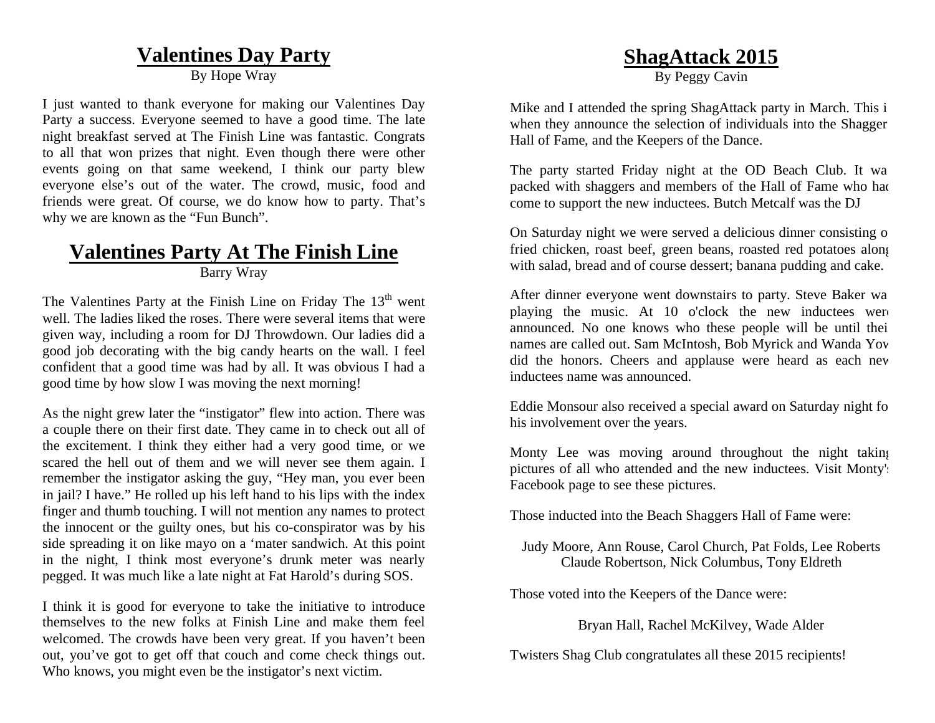# **Valentines Day Party**

By Hope Wrav

I just wanted to thank everyone for making our Valentines Day Party a success. Everyone seemed to have a good time. The late night breakfast served at The Finish Line was fantastic. Congrats to all that won prizes that night. Even though there were other events going on that same weekend, I think our party blew everyone else's out of the water. The crowd, music, food and friends were great. Of course, we do know how to party. That's why we are known as the "Fun Bunch".

### **Valentines Party At The Finish Line** Barry Wray

The Valentines Party at the Finish Line on Friday The  $13<sup>th</sup>$  went well. The ladies liked the roses. There were several items that were given way, including a room for DJ Throwdown. Our ladies did a good job decorating with the big candy hearts on the wall. I feel confident that a good time was had by all. It was obvious I had a good time by how slow I was moving the next morning!

As the night grew later the "instigator" flew into action. There was a couple there on their first date. They came in to check out all of the excitement. I think they either had a very good time, or we scared the hell out of them and we will never see them again. I remember the instigator asking the guy, "Hey man, you ever been in jail? I have." He rolled up his left hand to his lips with the index finger and thumb touching. I will not mention any names to protect the innocent or the guilty ones, but his co-conspirator was by his side spreading it on like mayo on a 'mater sandwich. At this point in the night, I think most everyone's drunk meter was nearly pegged. It was much like a late night at Fat Harold's during SOS.

I think it is good for everyone to take the initiative to introduce themselves to the new folks at Finish Line and make them feel welcomed. The crowds have been very great. If you haven't been out, you've got to get off that couch and come check things out. Who knows, you might even be the instigator's next victim.

# **ShagAttack 2015**

By Peggy Cavin

Mike and I attended the spring ShagAttack party in March. This i when they announce the selection of individuals into the Shagger Hall of Fame, and the Keepers of the Dance.

The party started Friday night at the OD Beach Club. It wa packed with shaggers and members of the Hall of Fame who ha d come to support the new inductees. Butch Metcalf was the DJ

On Saturday night we were served a delicious dinner consisting o fried chicken, roast beef, green beans, roasted red potatoes alon g with salad, bread and of course dessert; banana pudding and cake.

After dinner everyone went downstairs to party. Steve Baker wa playing the music. At 10 o'clock the new inductees were announced. No one knows who these people will be until thei names are called out. Sam McIntosh, Bob Myrick and Wanda Yo w did the honors. Cheers and applause were heard as each ne w inductees name was announced.

Eddie Monsour also received a special award on Saturday night fo his involvement over the years.

Monty Lee was moving around throughout the night takin g pictures of all who attended and the new inductees. Visit Monty's Facebook page to see these pictures.

Those inducted into the Beach Shaggers Hall of Fame were:

Judy Moore, Ann Rouse, Carol Church, Pat Folds, Lee Roberts Claude Robertson, Nick Columbus, Tony Eldreth

Those voted into the Keepers of the Dance were:

Bryan Hall, Rachel McKilvey, Wade Alder

Twisters Shag Club congratulates all these 2015 recipients!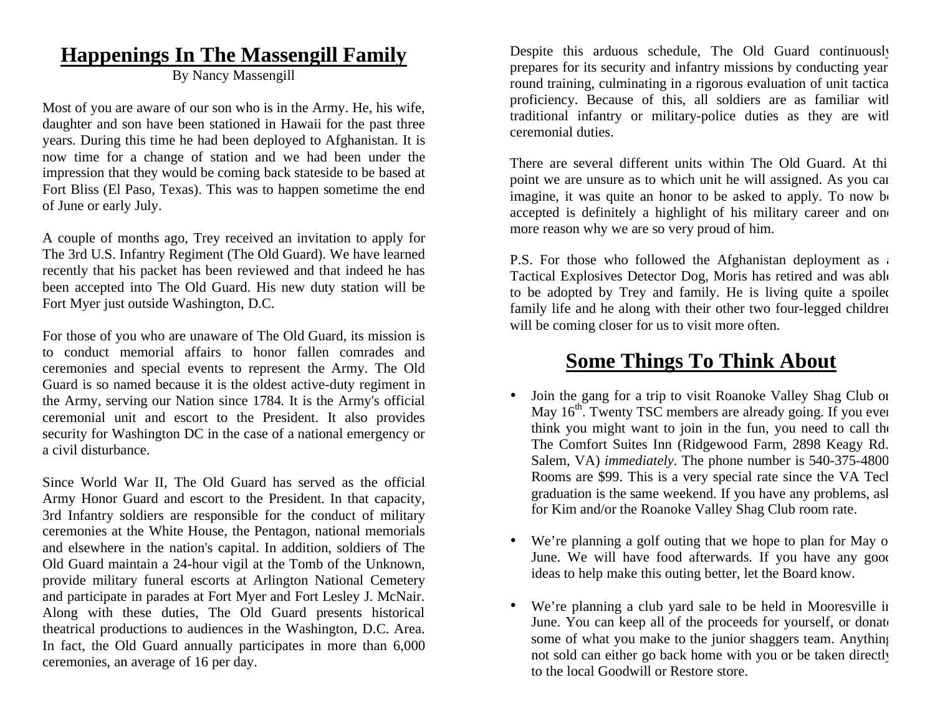# **Happenings In The Massengill Family**

By Nancy Massengill

Most of you are aware of our son who is in the Army. He, his wife, daughter and son have been stationed in Hawaii for the past three years. During this time he had been deployed to Afghanistan. It is now time for a change of station and we had been under the impression that they would be coming back stateside to be based at Fort Bliss (El Paso, Texas). This was to happen sometime the end of June or early July.

A couple of months ago, Trey received an invitation to apply for The 3rd U.S. Infantry Regiment (The Old Guard). We have learned recently that his packet has been reviewed and that indeed he has been accepted into The Old Guard. His new duty station will be Fort Myer just outside Washington, D.C.

For those of you who are unaware of The Old Guard, its mission is to conduct memorial affairs to honor fallen comrades and ceremonies and special events to represent the Army. The Old Guard is so named because it is the oldest active-duty regiment in the Army, serving our Nation since 1784. It is the Army's official ceremonial unit and escort to the President. It also provides security for Washington DC in the case of a national emergency or a civil disturbance.

Since World War II, The Old Guard has served as the official Army Honor Guard and escort to the President. In that capacity, 3rd Infantry soldiers are responsible for the conduct of military ceremonies at the White House, the Pentagon, national memorials and elsewhere in the nation's capital. In addition, soldiers of The Old Guard maintain a 24-hour vigil at the Tomb of the Unknown, provide military funeral escorts at Arlington National Cemetery and participate in parades at Fort Myer and Fort Lesley J. McNair. Along with these duties, The Old Guard presents historical theatrical productions to audiences in the Washington, D.C. Area. In fact, the Old Guard annually participates in more than 6,000 ceremonies, an average of 16 per day.

Despite this arduous schedule, The Old Guard continuously prepares for its security and infantry missions by conducting year round training, culminating in a rigorous evaluation of unit tactic a proficiency. Because of this, all soldiers are as familiar wit h traditional infantry or military-police duties as they are wit h ceremonial duties.

There are several different units within The Old Guard. At thi point we are unsure as to which unit he will assigned. As you can imagine, it was quite an honor to be asked to apply. To now be accepted is definitely a highlight of his military career and one more reason why we are so very proud of him.

P.S. For those who followed the Afghanistan deployment as a Tactical Explosives Detector Dog, Moris has retired and was abl e to be adopted by Trey and family. He is living quite a spoile d family life and he along with their other two four-legged children will be coming closer for us to visit more often.

# **Some Things To Think About**

- •• Join the gang for a trip to visit Roanoke Valley Shag Club on May  $16<sup>th</sup>$ . Twenty TSC members are already going. If you ever think you might want to join in the fun, you need to call th e The Comfort Suites Inn (Ridgewood Farm, 2898 Keagy Rd. Salem, VA) *immediately*. The phone number is 540-375-480 0 Rooms are \$99. This is a very special rate since the VA Tecl graduation is the same weekend. If you have any problems, as k for Kim and/or the Roanoke Valley Shag Club room rate.
- We're planning a golf outing that we hope to plan for May o June. We will have food afterwards. If you have any good ideas to help make this outing better, let the Board know.
- •• We're planning a club yard sale to be held in Mooresville in June. You can keep all of the proceeds for yourself, or donate some of what you make to the junior shaggers team. Anythin g not sold can either go back home with you or be taken directly to the local Goodwill or Restore store.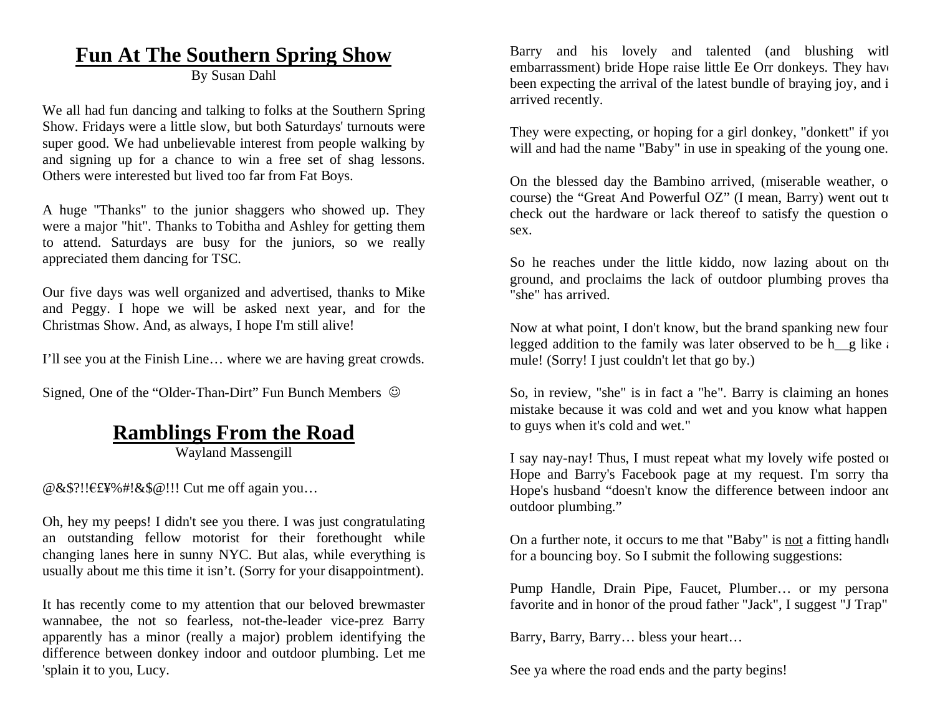# **Fun At The Southern Spring Show**

By Susan Dahl

We all had fun dancing and talking to folks at the Southern Spring Show. Fridays were a little slow, but both Saturdays' turnouts were super good. We had unbelievable interest from people walking by and signing up for a chance to win a free set of shag lessons. Others were interested but lived too far from Fat Boys.

A huge "Thanks" to the junior shaggers who showed up. They were a major "hit". Thanks to Tobitha and Ashley for getting them to attend. Saturdays are busy for the juniors, so we really appreciated them dancing for TSC.

Our five days was well organized and advertised, thanks to Mike and Peggy. I hope we will be asked next year, and for the Christmas Show. And, as always, I hope I'm still alive!

I'll see you at the Finish Line… where we are having great crowds.

Signed, One of the "Older-Than-Dirt" Fun Bunch Members  $\degree$ 

# **Ramblings From the Road**

Wayland Massengill

@&\$?!! £¥%#!&\$@!!! Cut me off again you…

Oh, hey my peeps! I didn't see you there. I was just congratulating an outstanding fellow motorist for their forethought while changing lanes here in sunny NYC. But alas, while everything is usually about me this time it isn't. (Sorry for your disappointment).

It has recently come to my attention that our beloved brewmaster wannabee, the not so fearless, not-the-leader vice-prez Barry apparently has a minor (really a major) problem identifying the difference between donkey indoor and outdoor plumbing. Let me 'splain it to you, Lucy.

Barry and his lovely and talented (and blushing wit h embarrassment) bride Hope raise little Ee Orr donkeys. They hav e been expecting the arrival of the latest bundle of braying joy, and i arrived recently.

They were expecting, or hoping for a girl donkey, "donkett" if yo u will and had the name "Baby" in use in speaking of the young one.

On the blessed day the Bambino arrived, (miserable weather, o course) the "Great And Powerful OZ" (I mean, Barry) went out to check out the hardware or lack thereof to satisfy the question o sex.

So he reaches under the little kiddo, now lazing about on the ground, and proclaims the lack of outdoor plumbing proves th a "she" has arrived.

Now at what point, I don't know, but the brand spanking new four legged addition to the family was later observed to be h<sub>emen</sub> like a mule! (Sorry! I just couldn't let that go by.)

So, in review, "she" is in fact a "he". Barry is claiming an hones mistake because it was cold and wet and you know what happen to guys when it's cold and wet."

I say nay-nay! Thus, I must repeat what my lovely wife posted o n Hope and Barry's Facebook page at my request. I'm sorry th a Hope's husband "doesn't know the difference between indoor an d outdoor plumbing."

On a further note, it occurs to me that "Baby" is <u>not</u> a fitting handle for a bouncing boy. So I submit the following suggestions:

Pump Handle, Drain Pipe, Faucet, Plumber… or my person a favorite and in honor of the proud father "Jack", I suggest "J Trap"

Barry, Barry, Barry… bless your heart…

See ya where the road ends and the party begins!